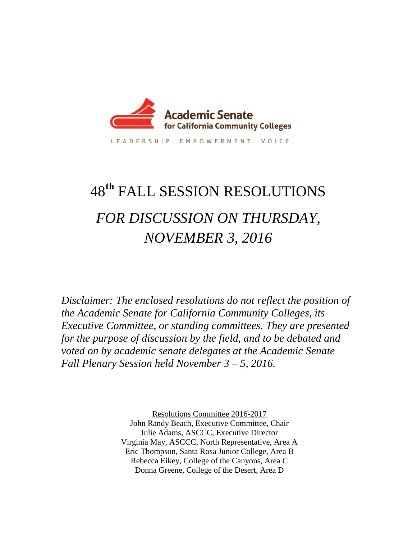

LEADERSHIP, EMPOWERMENT, VOICE,

# 48**th** FALL SESSION RESOLUTIONS *FOR DISCUSSION ON THURSDAY, NOVEMBER 3, 2016*

*Disclaimer: The enclosed resolutions do not reflect the position of the Academic Senate for California Community Colleges, its Executive Committee, or standing committees. They are presented for the purpose of discussion by the field, and to be debated and voted on by academic senate delegates at the Academic Senate Fall Plenary Session held November 3 – 5, 2016.* 

> Resolutions Committee 2016-2017 John Randy Beach, Executive Committee, Chair Julie Adams, ASCCC, Executive Director Virginia May, ASCCC, North Representative, Area A Eric Thompson, Santa Rosa Junior College, Area B Rebecca Eikey, College of the Canyons, Area C Donna Greene, College of the Desert, Area D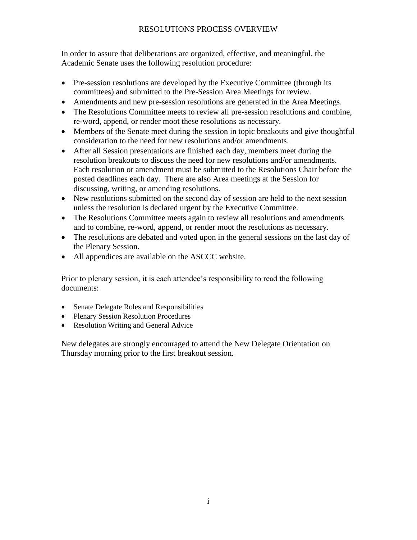# RESOLUTIONS PROCESS OVERVIEW

In order to assure that deliberations are organized, effective, and meaningful, the Academic Senate uses the following resolution procedure:

- Pre-session resolutions are developed by the Executive Committee (through its committees) and submitted to the Pre-Session Area Meetings for review.
- Amendments and new pre-session resolutions are generated in the Area Meetings.
- The Resolutions Committee meets to review all pre-session resolutions and combine, re-word, append, or render moot these resolutions as necessary.
- Members of the Senate meet during the session in topic breakouts and give thoughtful consideration to the need for new resolutions and/or amendments.
- After all Session presentations are finished each day, members meet during the resolution breakouts to discuss the need for new resolutions and/or amendments. Each resolution or amendment must be submitted to the Resolutions Chair before the posted deadlines each day. There are also Area meetings at the Session for discussing, writing, or amending resolutions.
- New resolutions submitted on the second day of session are held to the next session unless the resolution is declared urgent by the Executive Committee.
- The Resolutions Committee meets again to review all resolutions and amendments and to combine, re-word, append, or render moot the resolutions as necessary.
- The resolutions are debated and voted upon in the general sessions on the last day of the Plenary Session.
- All appendices are available on the ASCCC website.

Prior to plenary session, it is each attendee's responsibility to read the following documents:

- Senate Delegate Roles and Responsibilities
- Plenary Session Resolution Procedures
- Resolution Writing and General Advice

New delegates are strongly encouraged to attend the New Delegate Orientation on Thursday morning prior to the first breakout session.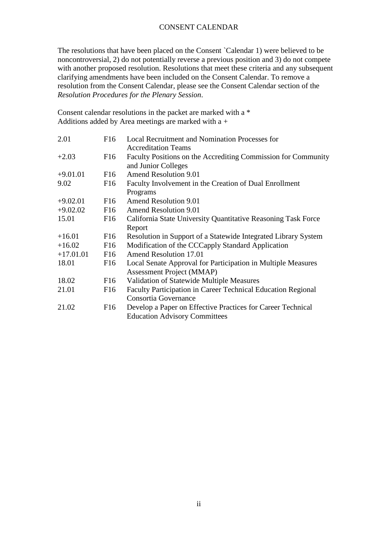#### CONSENT CALENDAR

The resolutions that have been placed on the Consent `Calendar 1) were believed to be noncontroversial, 2) do not potentially reverse a previous position and 3) do not compete with another proposed resolution. Resolutions that meet these criteria and any subsequent clarifying amendments have been included on the Consent Calendar. To remove a resolution from the Consent Calendar, please see the Consent Calendar section of the *Resolution Procedures for the Plenary Session*.

Consent calendar resolutions in the packet are marked with a \* Additions added by Area meetings are marked with a +

| 2.01        | F16             | <b>Local Recruitment and Nomination Processes for</b><br><b>Accreditation Teams</b>  |
|-------------|-----------------|--------------------------------------------------------------------------------------|
| $+2.03$     | F16             | Faculty Positions on the Accrediting Commission for Community<br>and Junior Colleges |
| $+9.01.01$  | F <sub>16</sub> | <b>Amend Resolution 9.01</b>                                                         |
| 9.02        | F16             | Faculty Involvement in the Creation of Dual Enrollment                               |
|             |                 | Programs                                                                             |
| $+9.02.01$  | F <sub>16</sub> | <b>Amend Resolution 9.01</b>                                                         |
| $+9.02.02$  | F <sub>16</sub> | <b>Amend Resolution 9.01</b>                                                         |
| 15.01       | F16             | California State University Quantitative Reasoning Task Force                        |
|             |                 | Report                                                                               |
| $+16.01$    | F <sub>16</sub> | Resolution in Support of a Statewide Integrated Library System                       |
| $+16.02$    | F <sub>16</sub> | Modification of the CCCapply Standard Application                                    |
| $+17.01.01$ | F <sub>16</sub> | <b>Amend Resolution 17.01</b>                                                        |
| 18.01       | F16             | Local Senate Approval for Participation in Multiple Measures                         |
|             |                 | Assessment Project (MMAP)                                                            |
| 18.02       | F16             | Validation of Statewide Multiple Measures                                            |
| 21.01       | F16             | <b>Faculty Participation in Career Technical Education Regional</b>                  |
|             |                 | Consortia Governance                                                                 |
| 21.02       | F16             | Develop a Paper on Effective Practices for Career Technical                          |
|             |                 | <b>Education Advisory Committees</b>                                                 |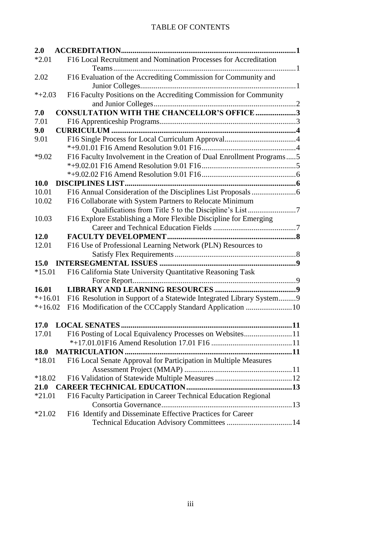# TABLE OF CONTENTS

| 2.0         |                                                                      |  |  |
|-------------|----------------------------------------------------------------------|--|--|
| $*2.01$     | F16 Local Recruitment and Nomination Processes for Accreditation     |  |  |
|             |                                                                      |  |  |
| 2.02        | F16 Evaluation of the Accrediting Commission for Community and       |  |  |
|             |                                                                      |  |  |
| $*+2.03$    | F16 Faculty Positions on the Accrediting Commission for Community    |  |  |
|             |                                                                      |  |  |
| 7.0         | <b>CONSULTATION WITH THE CHANCELLOR'S OFFICE 3</b>                   |  |  |
| 7.01        |                                                                      |  |  |
| 9.0         |                                                                      |  |  |
| 9.01        |                                                                      |  |  |
|             |                                                                      |  |  |
| $*9.02$     | F16 Faculty Involvement in the Creation of Dual Enrollment Programs5 |  |  |
|             |                                                                      |  |  |
|             |                                                                      |  |  |
| <b>10.0</b> |                                                                      |  |  |
| 10.01       |                                                                      |  |  |
| 10.02       | F16 Collaborate with System Partners to Relocate Minimum             |  |  |
|             | Qualifications from Title 5 to the Discipline's List7                |  |  |
| 10.03       | F16 Explore Establishing a More Flexible Discipline for Emerging     |  |  |
|             |                                                                      |  |  |
| 12.0        |                                                                      |  |  |
| 12.01       | F16 Use of Professional Learning Network (PLN) Resources to          |  |  |
|             |                                                                      |  |  |
| 15.0        |                                                                      |  |  |
| $*15.01$    | F16 California State University Quantitative Reasoning Task          |  |  |
|             |                                                                      |  |  |
| 16.01       |                                                                      |  |  |
| $*+16.01$   | F16 Resolution in Support of a Statewide Integrated Library System 9 |  |  |
| $*+16.02$   |                                                                      |  |  |
|             |                                                                      |  |  |
|             |                                                                      |  |  |
| 17.01       | F16 Posting of Local Equivalency Processes on Websites11             |  |  |
|             |                                                                      |  |  |
| 18.0        |                                                                      |  |  |
| $*18.01$    | F16 Local Senate Approval for Participation in Multiple Measures     |  |  |
|             |                                                                      |  |  |
| $*18.02$    |                                                                      |  |  |
| 21.0        |                                                                      |  |  |
| $*21.01$    | F16 Faculty Participation in Career Technical Education Regional     |  |  |
|             |                                                                      |  |  |
| $*21.02$    | F16 Identify and Disseminate Effective Practices for Career          |  |  |
|             |                                                                      |  |  |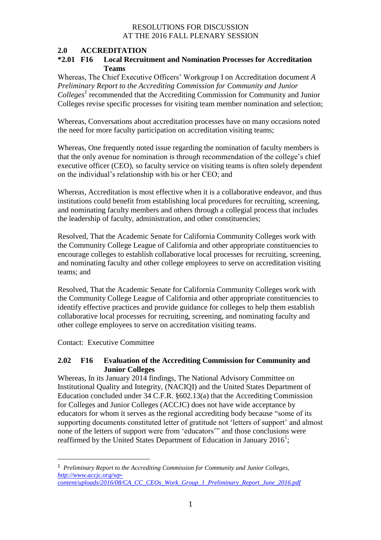#### **2.0 ACCREDITATION \*2.01 F16 Local Recruitment and Nomination Processes for Accreditation Teams**

Whereas, The Chief Executive Officers' Workgroup I on Accreditation document *A Preliminary Report to the Accrediting Commission for Community and Junior Colleges<sup>1</sup>* recommended that the Accrediting Commission for Community and Junior Colleges revise specific processes for visiting team member nomination and selection;

Whereas, Conversations about accreditation processes have on many occasions noted the need for more faculty participation on accreditation visiting teams;

Whereas, One frequently noted issue regarding the nomination of faculty members is that the only avenue for nomination is through recommendation of the college's chief executive officer (CEO), so faculty service on visiting teams is often solely dependent on the individual's relationship with his or her CEO; and

Whereas, Accreditation is most effective when it is a collaborative endeavor, and thus institutions could benefit from establishing local procedures for recruiting, screening, and nominating faculty members and others through a collegial process that includes the leadership of faculty, administration, and other constituencies;

Resolved, That the Academic Senate for California Community Colleges work with the Community College League of California and other appropriate constituencies to encourage colleges to establish collaborative local processes for recruiting, screening, and nominating faculty and other college employees to serve on accreditation visiting teams; and

Resolved, That the Academic Senate for California Community Colleges work with the Community College League of California and other appropriate constituencies to identify effective practices and provide guidance for colleges to help them establish collaborative local processes for recruiting, screening, and nominating faculty and other college employees to serve on accreditation visiting teams.

Contact: Executive Committee

 $\overline{\phantom{a}}$ 

### **2.02 F16 Evaluation of the Accrediting Commission for Community and Junior Colleges**

Whereas, In its January 2014 findings, The National Advisory Committee on Institutional Quality and Integrity, (NACIQI) and the United States Department of Education concluded under 34 C.F.R. §602.13(a) that the Accrediting Commission for Colleges and Junior Colleges (ACCJC) does not have wide acceptance by educators for whom it serves as the regional accrediting body because "some of its supporting documents constituted letter of gratitude not 'letters of support' and almost none of the letters of support were from 'educators'" and those conclusions were reaffirmed by the United States Department of Education in January  $2016<sup>1</sup>$ ;

<sup>1</sup> *Preliminary Report to the Accrediting Commission for Community and Junior Colleges, [http://www.accjc.org/wp](http://www.accjc.org/wp-content/uploads/2016/08/CA_CC_CEOs_Work_Group_1_Preliminary_Report_June_2016.pdf)[content/uploads/2016/08/CA\\_CC\\_CEOs\\_Work\\_Group\\_1\\_Preliminary\\_Report\\_June\\_2016.pdf](http://www.accjc.org/wp-content/uploads/2016/08/CA_CC_CEOs_Work_Group_1_Preliminary_Report_June_2016.pdf)*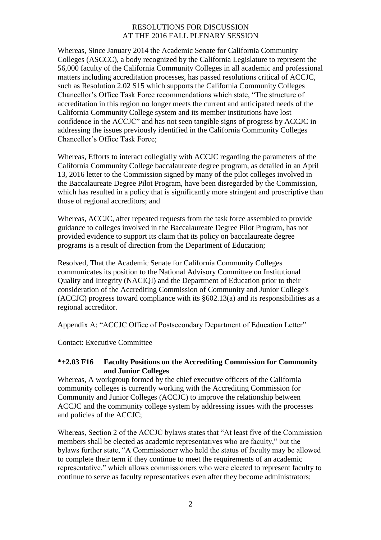Whereas, Since January 2014 the Academic Senate for California Community Colleges (ASCCC), a body recognized by the California Legislature to represent the 56,000 faculty of the California Community Colleges in all academic and professional matters including accreditation processes, has passed resolutions critical of ACCJC, such as Resolution 2.02 S15 which supports the California Community Colleges Chancellor's Office Task Force recommendations which state, "The structure of accreditation in this region no longer meets the current and anticipated needs of the California Community College system and its member institutions have lost confidence in the ACCJC" and has not seen tangible signs of progress by ACCJC in addressing the issues previously identified in the California Community Colleges Chancellor's Office Task Force;

Whereas, Efforts to interact collegially with ACCJC regarding the parameters of the California Community College baccalaureate degree program, as detailed in an April 13, 2016 letter to the Commission signed by many of the pilot colleges involved in the Baccalaureate Degree Pilot Program, have been disregarded by the Commission, which has resulted in a policy that is significantly more stringent and proscriptive than those of regional accreditors; and

Whereas, ACCJC, after repeated requests from the task force assembled to provide guidance to colleges involved in the Baccalaureate Degree Pilot Program, has not provided evidence to support its claim that its policy on baccalaureate degree programs is a result of direction from the Department of Education;

Resolved, That the Academic Senate for California Community Colleges communicates its position to the National Advisory Committee on Institutional Quality and Integrity (NACIQI) and the Department of Education prior to their consideration of the Accrediting Commission of Community and Junior College's (ACCJC) progress toward compliance with its §602.13(a) and its responsibilities as a regional accreditor.

Appendix A: "ACCJC Office of Postsecondary Department of Education Letter"

Contact: Executive Committee

#### **\*+2.03 F16 Faculty Positions on the Accrediting Commission for Community and Junior Colleges**

Whereas, A workgroup formed by the chief executive officers of the California community colleges is currently working with the Accrediting Commission for Community and Junior Colleges (ACCJC) to improve the relationship between ACCJC and the community college system by addressing issues with the processes and policies of the ACCJC;

Whereas, Section 2 of the ACCJC bylaws states that "At least five of the Commission members shall be elected as academic representatives who are faculty," but the bylaws further state, "A Commissioner who held the status of faculty may be allowed to complete their term if they continue to meet the requirements of an academic representative," which allows commissioners who were elected to represent faculty to continue to serve as faculty representatives even after they become administrators;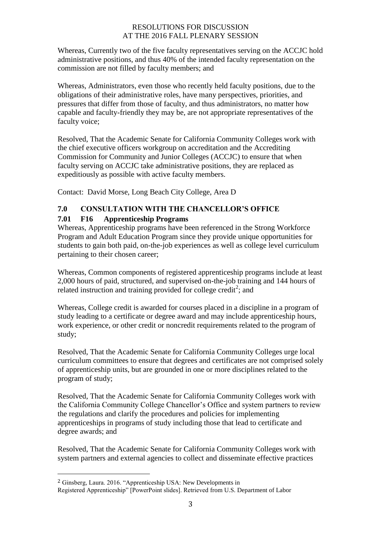Whereas, Currently two of the five faculty representatives serving on the ACCJC hold administrative positions, and thus 40% of the intended faculty representation on the commission are not filled by faculty members; and

Whereas, Administrators, even those who recently held faculty positions, due to the obligations of their administrative roles, have many perspectives, priorities, and pressures that differ from those of faculty, and thus administrators, no matter how capable and faculty-friendly they may be, are not appropriate representatives of the faculty voice;

Resolved, That the Academic Senate for California Community Colleges work with the chief executive officers workgroup on accreditation and the Accrediting Commission for Community and Junior Colleges (ACCJC) to ensure that when faculty serving on ACCJC take administrative positions, they are replaced as expeditiously as possible with active faculty members.

Contact: David Morse, Long Beach City College, Area D

# **7.0 CONSULTATION WITH THE CHANCELLOR'S OFFICE**

# **7.01 F16 Apprenticeship Programs**

Whereas, Apprenticeship programs have been referenced in the Strong Workforce Program and Adult Education Program since they provide unique opportunities for students to gain both paid, on-the-job experiences as well as college level curriculum pertaining to their chosen career;

Whereas, Common components of registered apprenticeship programs include at least 2,000 hours of paid, structured, and supervised on-the-job training and 144 hours of related instruction and training provided for college credit<sup>2</sup>; and

Whereas, College credit is awarded for courses placed in a discipline in a program of study leading to a certificate or degree award and may include apprenticeship hours, work experience, or other credit or noncredit requirements related to the program of study;

Resolved, That the Academic Senate for California Community Colleges urge local curriculum committees to ensure that degrees and certificates are not comprised solely of apprenticeship units, but are grounded in one or more disciplines related to the program of study;

Resolved, That the Academic Senate for California Community Colleges work with the California Community College Chancellor's Office and system partners to review the regulations and clarify the procedures and policies for implementing apprenticeships in programs of study including those that lead to certificate and degree awards; and

Resolved, That the Academic Senate for California Community Colleges work with system partners and external agencies to collect and disseminate effective practices

 $\overline{\phantom{a}}$ 

<sup>2</sup> Ginsberg, Laura. 2016. "Apprenticeship USA: New Developments in Registered Apprenticeship" [PowerPoint slides]. Retrieved from U.S. Department of Labor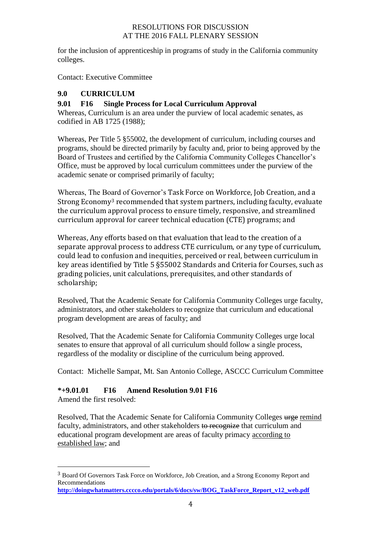for the inclusion of apprenticeship in programs of study in the California community colleges.

Contact: Executive Committee

# **9.0 CURRICULUM**

# **9.01 F16 Single Process for Local Curriculum Approval**

Whereas, Curriculum is an area under the purview of local academic senates, as codified in AB 1725 (1988);

Whereas, Per Title 5 §55002, the development of curriculum, including courses and programs, should be directed primarily by faculty and, prior to being approved by the Board of Trustees and certified by the California Community Colleges Chancellor's Office, must be approved by local curriculum committees under the purview of the academic senate or comprised primarily of faculty;

Whereas, The Board of Governor's Task Force on Workforce, Job Creation, and a Strong Economy<sup>3</sup> recommended that system partners, including faculty, evaluate the curriculum approval process to ensure timely, responsive, and streamlined curriculum approval for career technical education (CTE) programs; and

Whereas, Any efforts based on that evaluation that lead to the creation of a separate approval process to address CTE curriculum, or any type of curriculum, could lead to confusion and inequities, perceived or real, between curriculum in key areas identified by Title 5 §55002 Standards and Criteria for Courses, such as grading policies, unit calculations, prerequisites, and other standards of scholarship;

Resolved, That the Academic Senate for California Community Colleges urge faculty, administrators, and other stakeholders to recognize that curriculum and educational program development are areas of faculty; and

Resolved, That the Academic Senate for California Community Colleges urge local senates to ensure that approval of all curriculum should follow a single process, regardless of the modality or discipline of the curriculum being approved.

Contact: Michelle Sampat, Mt. San Antonio College, ASCCC Curriculum Committee

### **\*+9.01.01 F16 Amend Resolution 9.01 F16**

Amend the first resolved:

 $\overline{a}$ 

Resolved, That the Academic Senate for California Community Colleges urge remind faculty, administrators, and other stakeholders to recognize that curriculum and educational program development are areas of faculty primacy according to established law; and

<sup>3</sup> Board Of Governors Task Force on Workforce, Job Creation, and a Strong Economy Report and Recommendations

**[http://doingwhatmatters.cccco.edu/portals/6/docs/sw/BOG\\_TaskForce\\_Report\\_v12\\_web.pdf](http://doingwhatmatters.cccco.edu/portals/6/docs/sw/BOG_TaskForce_Report_v12_web.pdf)**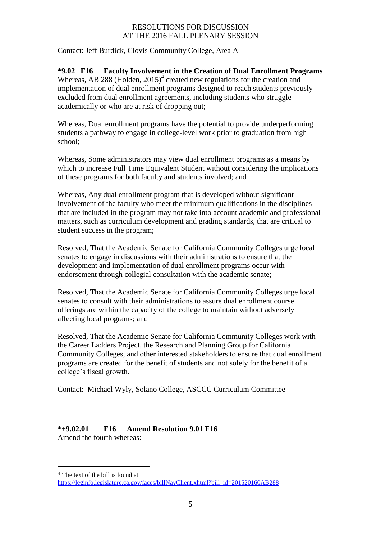Contact: Jeff Burdick, Clovis Community College, Area A

**\*9.02 F16 Faculty Involvement in the Creation of Dual Enrollment Programs**  Whereas, AB 288 (Holden,  $2015$ )<sup>4</sup> created new regulations for the creation and implementation of dual enrollment programs designed to reach students previously excluded from dual enrollment agreements, including students who struggle academically or who are at risk of dropping out;

Whereas, Dual enrollment programs have the potential to provide underperforming students a pathway to engage in college-level work prior to graduation from high school;

Whereas, Some administrators may view dual enrollment programs as a means by which to increase Full Time Equivalent Student without considering the implications of these programs for both faculty and students involved; and

Whereas, Any dual enrollment program that is developed without significant involvement of the faculty who meet the minimum qualifications in the disciplines that are included in the program may not take into account academic and professional matters, such as curriculum development and grading standards, that are critical to student success in the program;

Resolved, That the Academic Senate for California Community Colleges urge local senates to engage in discussions with their administrations to ensure that the development and implementation of dual enrollment programs occur with endorsement through collegial consultation with the academic senate;

Resolved, That the Academic Senate for California Community Colleges urge local senates to consult with their administrations to assure dual enrollment course offerings are within the capacity of the college to maintain without adversely affecting local programs; and

Resolved, That the Academic Senate for California Community Colleges work with the Career Ladders Project, the Research and Planning Group for California Community Colleges, and other interested stakeholders to ensure that dual enrollment programs are created for the benefit of students and not solely for the benefit of a college's fiscal growth.

Contact: Michael Wyly, Solano College, ASCCC Curriculum Committee

**\*+9.02.01 F16 Amend Resolution 9.01 F16** Amend the fourth whereas:

 $\overline{a}$ 

<sup>4</sup> The text of the bill is found at

[https://leginfo.legislature.ca.gov/faces/billNavClient.xhtml?bill\\_id=201520160AB288](https://leginfo.legislature.ca.gov/faces/billNavClient.xhtml?bill_id=201520160AB288)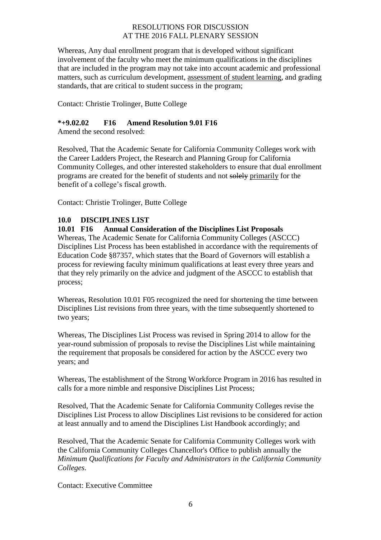Whereas, Any dual enrollment program that is developed without significant involvement of the faculty who meet the minimum qualifications in the disciplines that are included in the program may not take into account academic and professional matters, such as curriculum development, assessment of student learning, and grading standards, that are critical to student success in the program;

Contact: Christie Trolinger, Butte College

#### **\*+9.02.02 F16 Amend Resolution 9.01 F16**

Amend the second resolved:

Resolved, That the Academic Senate for California Community Colleges work with the Career Ladders Project, the Research and Planning Group for California Community Colleges, and other interested stakeholders to ensure that dual enrollment programs are created for the benefit of students and not solely primarily for the benefit of a college's fiscal growth.

Contact: Christie Trolinger, Butte College

### **10.0 DISCIPLINES LIST**

#### **10.01 F16 Annual Consideration of the Disciplines List Proposals**

Whereas, The Academic Senate for California Community Colleges (ASCCC) Disciplines List Process has been established in accordance with the requirements of Education Code §87357, which states that the Board of Governors will establish a process for reviewing faculty minimum qualifications at least every three years and that they rely primarily on the advice and judgment of the ASCCC to establish that process;

Whereas, Resolution 10.01 F05 recognized the need for shortening the time between Disciplines List revisions from three years, with the time subsequently shortened to two years;

Whereas, The Disciplines List Process was revised in Spring 2014 to allow for the year-round submission of proposals to revise the Disciplines List while maintaining the requirement that proposals be considered for action by the ASCCC every two years; and

Whereas, The establishment of the Strong Workforce Program in 2016 has resulted in calls for a more nimble and responsive Disciplines List Process;

Resolved, That the Academic Senate for California Community Colleges revise the Disciplines List Process to allow Disciplines List revisions to be considered for action at least annually and to amend the Disciplines List Handbook accordingly; and

Resolved, That the Academic Senate for California Community Colleges work with the California Community Colleges Chancellor's Office to publish annually the *Minimum Qualifications for Faculty and Administrators in the California Community Colleges*.

Contact: Executive Committee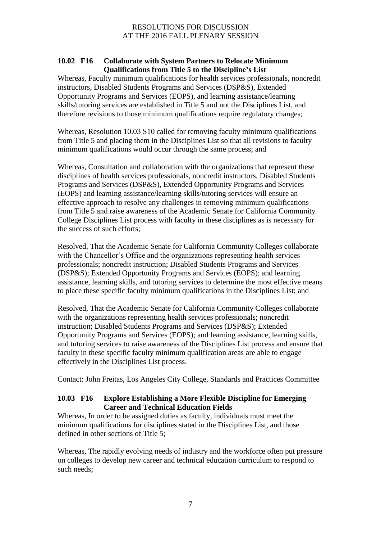#### **10.02 F16 Collaborate with System Partners to Relocate Minimum Qualifications from Title 5 to the Discipline's List**

Whereas, Faculty minimum qualifications for health services professionals, noncredit instructors, Disabled Students Programs and Services (DSP&S), Extended Opportunity Programs and Services (EOPS), and learning assistance/learning skills/tutoring services are established in Title 5 and not the Disciplines List, and therefore revisions to those minimum qualifications require regulatory changes;

Whereas, Resolution 10.03 S10 called for removing faculty minimum qualifications from Title 5 and placing them in the Disciplines List so that all revisions to faculty minimum qualifications would occur through the same process; and

Whereas, Consultation and collaboration with the organizations that represent these disciplines of health services professionals, noncredit instructors, Disabled Students Programs and Services (DSP&S), Extended Opportunity Programs and Services (EOPS) and learning assistance/learning skills/tutoring services will ensure an effective approach to resolve any challenges in removing minimum qualifications from Title 5 and raise awareness of the Academic Senate for California Community College Disciplines List process with faculty in these disciplines as is necessary for the success of such efforts;

Resolved, That the Academic Senate for California Community Colleges collaborate with the Chancellor's Office and the organizations representing health services professionals; noncredit instruction; Disabled Students Programs and Services (DSP&S); Extended Opportunity Programs and Services (EOPS); and learning assistance, learning skills, and tutoring services to determine the most effective means to place these specific faculty minimum qualifications in the Disciplines List; and

Resolved, That the Academic Senate for California Community Colleges collaborate with the organizations representing health services professionals; noncredit instruction; Disabled Students Programs and Services (DSP&S); Extended Opportunity Programs and Services (EOPS); and learning assistance, learning skills, and tutoring services to raise awareness of the Disciplines List process and ensure that faculty in these specific faculty minimum qualification areas are able to engage effectively in the Disciplines List process.

Contact: John Freitas, Los Angeles City College, Standards and Practices Committee

### **10.03 F16 Explore Establishing a More Flexible Discipline for Emerging Career and Technical Education Fields**

Whereas, In order to be assigned duties as faculty, individuals must meet the minimum qualifications for disciplines stated in the Disciplines List, and those defined in other sections of Title 5;

Whereas, The rapidly evolving needs of industry and the workforce often put pressure on colleges to develop new career and technical education curriculum to respond to such needs;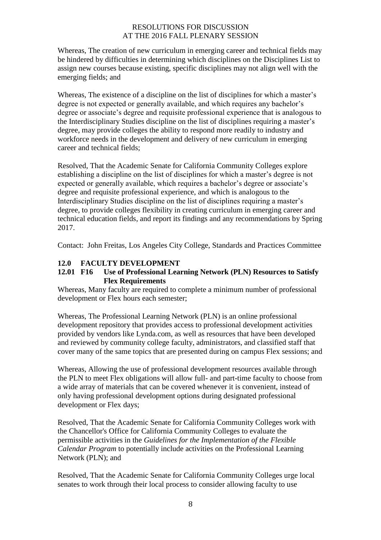Whereas, The creation of new curriculum in emerging career and technical fields may be hindered by difficulties in determining which disciplines on the Disciplines List to assign new courses because existing, specific disciplines may not align well with the emerging fields; and

Whereas, The existence of a discipline on the list of disciplines for which a master's degree is not expected or generally available, and which requires any bachelor's degree or associate's degree and requisite professional experience that is analogous to the Interdisciplinary Studies discipline on the list of disciplines requiring a master's degree, may provide colleges the ability to respond more readily to industry and workforce needs in the development and delivery of new curriculum in emerging career and technical fields;

Resolved, That the Academic Senate for California Community Colleges explore establishing a discipline on the list of disciplines for which a master's degree is not expected or generally available, which requires a bachelor's degree or associate's degree and requisite professional experience, and which is analogous to the Interdisciplinary Studies discipline on the list of disciplines requiring a master's degree, to provide colleges flexibility in creating curriculum in emerging career and technical education fields, and report its findings and any recommendations by Spring 2017.

Contact: John Freitas, Los Angeles City College, Standards and Practices Committee

# **12.0 FACULTY DEVELOPMENT**

### **12.01 F16 Use of Professional Learning Network (PLN) Resources to Satisfy Flex Requirements**

Whereas, Many faculty are required to complete a minimum number of professional development or Flex hours each semester;

Whereas, The Professional Learning Network (PLN) is an online professional development repository that provides access to professional development activities provided by vendors like Lynda.com, as well as resources that have been developed and reviewed by community college faculty, administrators, and classified staff that cover many of the same topics that are presented during on campus Flex sessions; and

Whereas, Allowing the use of professional development resources available through the PLN to meet Flex obligations will allow full- and part-time faculty to choose from a wide array of materials that can be covered whenever it is convenient, instead of only having professional development options during designated professional development or Flex days;

Resolved, That the Academic Senate for California Community Colleges work with the Chancellor's Office for California Community Colleges to evaluate the permissible activities in the *Guidelines for the Implementation of the Flexible Calendar Program* to potentially include activities on the Professional Learning Network (PLN); and

Resolved, That the Academic Senate for California Community Colleges urge local senates to work through their local process to consider allowing faculty to use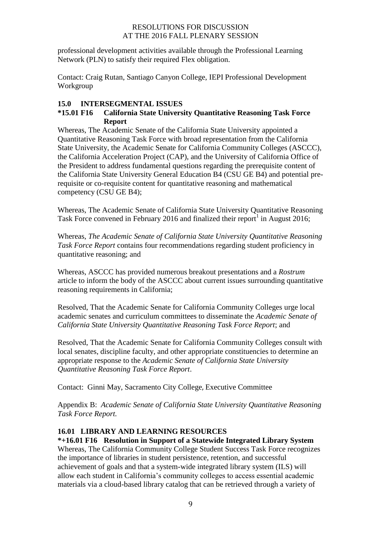professional development activities available through the Professional Learning Network (PLN) to satisfy their required Flex obligation.

Contact: Craig Rutan, Santiago Canyon College, IEPI Professional Development Workgroup

#### **15.0 INTERSEGMENTAL ISSUES**

#### **\*15.01 F16 California State University Quantitative Reasoning Task Force Report**

Whereas, The Academic Senate of the California State University appointed a Quantitative Reasoning Task Force with broad representation from the California State University, the Academic Senate for California Community Colleges (ASCCC), the California Acceleration Project (CAP), and the University of California Office of the President to address fundamental questions regarding the prerequisite content of the California State University General Education B4 (CSU GE B4) and potential prerequisite or co-requisite content for quantitative reasoning and mathematical competency (CSU GE B4);

Whereas, The Academic Senate of California State University Quantitative Reasoning Task Force convened in February 2016 and finalized their report<sup>1</sup> in August 2016;

Whereas, *The Academic Senate of California State University Quantitative Reasoning Task Force Report* contains four recommendations regarding student proficiency in quantitative reasoning; and

Whereas, ASCCC has provided numerous breakout presentations and a *Rostrum* article to inform the body of the ASCCC about current issues surrounding quantitative reasoning requirements in California;

Resolved, That the Academic Senate for California Community Colleges urge local academic senates and curriculum committees to disseminate the *Academic Senate of California State University Quantitative Reasoning Task Force Report*; and

Resolved, That the Academic Senate for California Community Colleges consult with local senates, discipline faculty, and other appropriate constituencies to determine an appropriate response to the *Academic Senate of California State University Quantitative Reasoning Task Force Report*.

Contact: Ginni May, Sacramento City College, Executive Committee

Appendix B: *Academic Senate of California State University Quantitative Reasoning Task Force Report.*

# **16.01 LIBRARY AND LEARNING RESOURCES**

**\*+16.01 F16 Resolution in Support of a Statewide Integrated Library System** Whereas, The California Community College Student Success Task Force recognizes the importance of libraries in student persistence, retention, and successful achievement of goals and that a system-wide integrated library system (ILS) will allow each student in California's community colleges to access essential academic materials via a cloud-based library catalog that can be retrieved through a variety of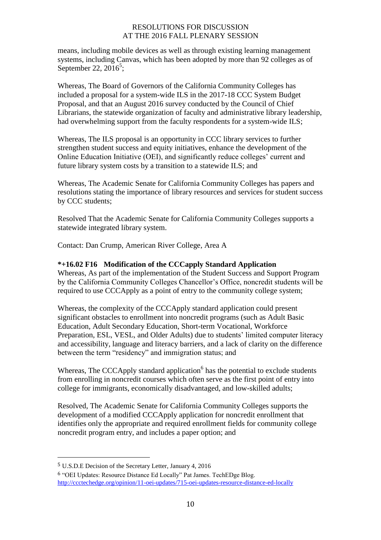means, including mobile devices as well as through existing learning management systems, including Canvas, which has been adopted by more than 92 colleges as of September 22, 20 $16^5$ ;

Whereas, The Board of Governors of the California Community Colleges has included a proposal for a system-wide ILS in the 2017-18 CCC System Budget Proposal, and that an August 2016 survey conducted by the Council of Chief Librarians, the statewide organization of faculty and administrative library leadership, had overwhelming support from the faculty respondents for a system-wide ILS;

Whereas, The ILS proposal is an opportunity in CCC library services to further strengthen student success and equity initiatives, enhance the development of the Online Education Initiative (OEI), and significantly reduce colleges' current and future library system costs by a transition to a statewide ILS; and

Whereas, The Academic Senate for California Community Colleges has papers and resolutions stating the importance of library resources and services for student success by CCC students;

Resolved That the Academic Senate for California Community Colleges supports a statewide integrated library system.

Contact: Dan Crump, American River College, Area A

#### **\*+16.02 F16 Modification of the CCCapply Standard Application**

Whereas, As part of the implementation of the Student Success and Support Program by the California Community Colleges Chancellor's Office, noncredit students will be required to use CCCApply as a point of entry to the community college system;

Whereas, the complexity of the CCCApply standard application could present significant obstacles to enrollment into noncredit programs (such as Adult Basic Education, Adult Secondary Education, Short-term Vocational, Workforce Preparation, ESL, VESL, and Older Adults) due to students' limited computer literacy and accessibility, language and literacy barriers, and a lack of clarity on the difference between the term "residency" and immigration status; and

Whereas, The CCCApply standard application $<sup>6</sup>$  has the potential to exclude students</sup> from enrolling in noncredit courses which often serve as the first point of entry into college for immigrants, economically disadvantaged, and low-skilled adults;

Resolved, The Academic Senate for California Community Colleges supports the development of a modified CCCApply application for noncredit enrollment that identifies only the appropriate and required enrollment fields for community college noncredit program entry, and includes a paper option; and

 $\overline{a}$ 

<sup>5</sup> U.S.D.E Decision of the Secretary Letter, January 4, 2016

<sup>6</sup> "OEI Updates: Resource Distance Ed Locally" Pat James. TechEDge Blog. <http://ccctechedge.org/opinion/11-oei-updates/715-oei-updates-resource-distance-ed-locally>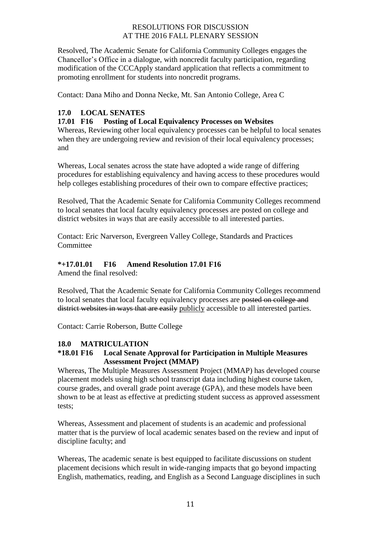Resolved, The Academic Senate for California Community Colleges engages the Chancellor's Office in a dialogue, with noncredit faculty participation, regarding modification of the CCCApply standard application that reflects a commitment to promoting enrollment for students into noncredit programs.

Contact: Dana Miho and Donna Necke, Mt. San Antonio College, Area C

# **17.0 LOCAL SENATES**

### **17.01 F16 Posting of Local Equivalency Processes on Websites**

Whereas, Reviewing other local equivalency processes can be helpful to local senates when they are undergoing review and revision of their local equivalency processes; and

Whereas, Local senates across the state have adopted a wide range of differing procedures for establishing equivalency and having access to these procedures would help colleges establishing procedures of their own to compare effective practices;

Resolved, That the Academic Senate for California Community Colleges recommend to local senates that local faculty equivalency processes are posted on college and district websites in ways that are easily accessible to all interested parties.

Contact: Eric Narverson, Evergreen Valley College, Standards and Practices **Committee** 

### **\*+17.01.01 F16 Amend Resolution 17.01 F16**

Amend the final resolved:

Resolved, That the Academic Senate for California Community Colleges recommend to local senates that local faculty equivalency processes are posted on college and district websites in ways that are easily publicly accessible to all interested parties.

Contact: Carrie Roberson, Butte College

### **18.0 MATRICULATION**

### **\*18.01 F16 Local Senate Approval for Participation in Multiple Measures Assessment Project (MMAP)**

Whereas, The Multiple Measures Assessment Project (MMAP) has developed course placement models using high school transcript data including highest course taken, course grades, and overall grade point average (GPA), and these models have been shown to be at least as effective at predicting student success as approved assessment tests;

Whereas, Assessment and placement of students is an academic and professional matter that is the purview of local academic senates based on the review and input of discipline faculty; and

Whereas, The academic senate is best equipped to facilitate discussions on student placement decisions which result in wide-ranging impacts that go beyond impacting English, mathematics, reading, and English as a Second Language disciplines in such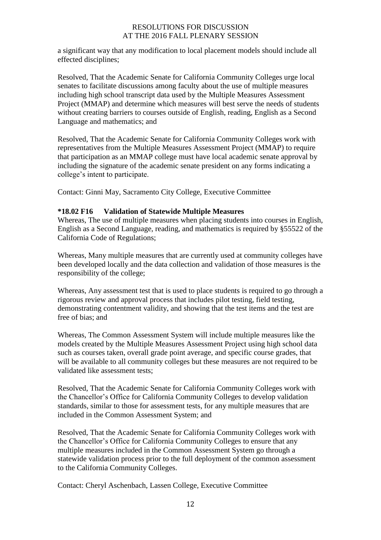a significant way that any modification to local placement models should include all effected disciplines;

Resolved, That the Academic Senate for California Community Colleges urge local senates to facilitate discussions among faculty about the use of multiple measures including high school transcript data used by the Multiple Measures Assessment Project (MMAP) and determine which measures will best serve the needs of students without creating barriers to courses outside of English, reading, English as a Second Language and mathematics; and

Resolved, That the Academic Senate for California Community Colleges work with representatives from the Multiple Measures Assessment Project (MMAP) to require that participation as an MMAP college must have local academic senate approval by including the signature of the academic senate president on any forms indicating a college's intent to participate.

Contact: Ginni May, Sacramento City College, Executive Committee

#### **\*18.02 F16 Validation of Statewide Multiple Measures**

Whereas, The use of multiple measures when placing students into courses in English, English as a Second Language, reading, and mathematics is required by §55522 of the California Code of Regulations;

Whereas, Many multiple measures that are currently used at community colleges have been developed locally and the data collection and validation of those measures is the responsibility of the college;

Whereas, Any assessment test that is used to place students is required to go through a rigorous review and approval process that includes pilot testing, field testing, demonstrating contentment validity, and showing that the test items and the test are free of bias; and

Whereas, The Common Assessment System will include multiple measures like the models created by the Multiple Measures Assessment Project using high school data such as courses taken, overall grade point average, and specific course grades, that will be available to all community colleges but these measures are not required to be validated like assessment tests;

Resolved, That the Academic Senate for California Community Colleges work with the Chancellor's Office for California Community Colleges to develop validation standards, similar to those for assessment tests, for any multiple measures that are included in the Common Assessment System; and

Resolved, That the Academic Senate for California Community Colleges work with the Chancellor's Office for California Community Colleges to ensure that any multiple measures included in the Common Assessment System go through a statewide validation process prior to the full deployment of the common assessment to the California Community Colleges.

Contact: Cheryl Aschenbach, Lassen College, Executive Committee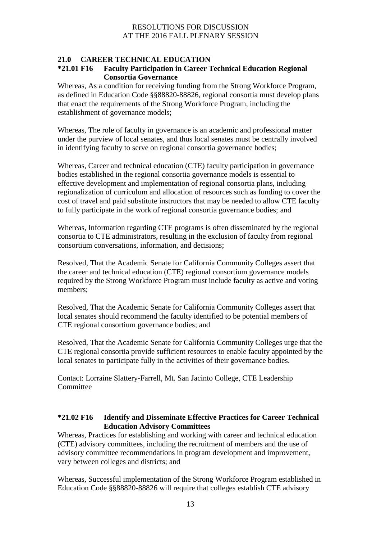# **21.0 CAREER TECHNICAL EDUCATION**

#### **\*21.01 F16 Faculty Participation in Career Technical Education Regional Consortia Governance**

Whereas, As a condition for receiving funding from the Strong Workforce Program, as defined in Education Code §§88820-88826, regional consortia must develop plans that enact the requirements of the Strong Workforce Program, including the establishment of governance models;

Whereas, The role of faculty in governance is an academic and professional matter under the purview of local senates, and thus local senates must be centrally involved in identifying faculty to serve on regional consortia governance bodies;

Whereas, Career and technical education (CTE) faculty participation in governance bodies established in the regional consortia governance models is essential to effective development and implementation of regional consortia plans, including regionalization of curriculum and allocation of resources such as funding to cover the cost of travel and paid substitute instructors that may be needed to allow CTE faculty to fully participate in the work of regional consortia governance bodies; and

Whereas, Information regarding CTE programs is often disseminated by the regional consortia to CTE administrators, resulting in the exclusion of faculty from regional consortium conversations, information, and decisions;

Resolved, That the Academic Senate for California Community Colleges assert that the career and technical education (CTE) regional consortium governance models required by the Strong Workforce Program must include faculty as active and voting members;

Resolved, That the Academic Senate for California Community Colleges assert that local senates should recommend the faculty identified to be potential members of CTE regional consortium governance bodies; and

Resolved, That the Academic Senate for California Community Colleges urge that the CTE regional consortia provide sufficient resources to enable faculty appointed by the local senates to participate fully in the activities of their governance bodies.

Contact: Lorraine Slattery-Farrell, Mt. San Jacinto College, CTE Leadership **Committee** 

#### **\*21.02 F16 Identify and Disseminate Effective Practices for Career Technical Education Advisory Committees**

Whereas, Practices for establishing and working with career and technical education (CTE) advisory committees, including the recruitment of members and the use of advisory committee recommendations in program development and improvement, vary between colleges and districts; and

Whereas, Successful implementation of the Strong Workforce Program established in Education Code §§88820-88826 will require that colleges establish CTE advisory